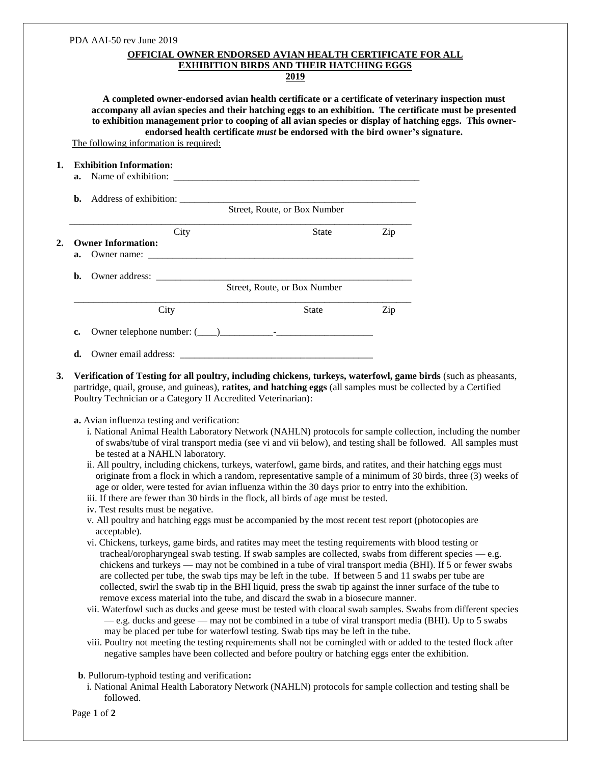|    | PDA AAI-50 rev June 2019                                                                                                                                                                                                                                                                                                                                                                                                |                                                                                                        |                                                                                                                                                                                                                                |
|----|-------------------------------------------------------------------------------------------------------------------------------------------------------------------------------------------------------------------------------------------------------------------------------------------------------------------------------------------------------------------------------------------------------------------------|--------------------------------------------------------------------------------------------------------|--------------------------------------------------------------------------------------------------------------------------------------------------------------------------------------------------------------------------------|
|    |                                                                                                                                                                                                                                                                                                                                                                                                                         | <b>OFFICIAL OWNER ENDORSED AVIAN HEALTH CERTIFICATE FOR ALL</b>                                        |                                                                                                                                                                                                                                |
|    |                                                                                                                                                                                                                                                                                                                                                                                                                         | <b>EXHIBITION BIRDS AND THEIR HATCHING EGGS</b><br><u>2019</u>                                         |                                                                                                                                                                                                                                |
|    |                                                                                                                                                                                                                                                                                                                                                                                                                         |                                                                                                        |                                                                                                                                                                                                                                |
|    | accompany all avian species and their hatching eggs to an exhibition. The certificate must be presented<br>to exhibition management prior to cooping of all avian species or display of hatching eggs. This owner-                                                                                                                                                                                                      |                                                                                                        | A completed owner-endorsed avian health certificate or a certificate of veterinary inspection must                                                                                                                             |
|    | The following information is required:                                                                                                                                                                                                                                                                                                                                                                                  | endorsed health certificate must be endorsed with the bird owner's signature.                          |                                                                                                                                                                                                                                |
|    | <b>Exhibition Information:</b>                                                                                                                                                                                                                                                                                                                                                                                          |                                                                                                        |                                                                                                                                                                                                                                |
|    |                                                                                                                                                                                                                                                                                                                                                                                                                         |                                                                                                        |                                                                                                                                                                                                                                |
|    |                                                                                                                                                                                                                                                                                                                                                                                                                         |                                                                                                        |                                                                                                                                                                                                                                |
|    |                                                                                                                                                                                                                                                                                                                                                                                                                         | Street, Route, or Box Number                                                                           |                                                                                                                                                                                                                                |
|    | City                                                                                                                                                                                                                                                                                                                                                                                                                    | State                                                                                                  | Zip                                                                                                                                                                                                                            |
|    | <b>Owner Information:</b>                                                                                                                                                                                                                                                                                                                                                                                               |                                                                                                        |                                                                                                                                                                                                                                |
| a. |                                                                                                                                                                                                                                                                                                                                                                                                                         |                                                                                                        |                                                                                                                                                                                                                                |
|    |                                                                                                                                                                                                                                                                                                                                                                                                                         |                                                                                                        |                                                                                                                                                                                                                                |
|    |                                                                                                                                                                                                                                                                                                                                                                                                                         |                                                                                                        |                                                                                                                                                                                                                                |
|    | City                                                                                                                                                                                                                                                                                                                                                                                                                    | State                                                                                                  | Zip                                                                                                                                                                                                                            |
| c. |                                                                                                                                                                                                                                                                                                                                                                                                                         |                                                                                                        |                                                                                                                                                                                                                                |
| d. |                                                                                                                                                                                                                                                                                                                                                                                                                         |                                                                                                        |                                                                                                                                                                                                                                |
|    | i. National Animal Health Laboratory Network (NAHLN) protocols for sample collection, including the number<br>be tested at a NAHLN laboratory.<br>ii. All poultry, including chickens, turkeys, waterfowl, game birds, and ratites, and their hatching eggs must                                                                                                                                                        |                                                                                                        | of swabs/tube of viral transport media (see vi and vii below), and testing shall be followed. All samples must<br>originate from a flock in which a random, representative sample of a minimum of 30 birds, three (3) weeks of |
|    | age or older, were tested for avian influenza within the 30 days prior to entry into the exhibition.<br>iii. If there are fewer than 30 birds in the flock, all birds of age must be tested.                                                                                                                                                                                                                            |                                                                                                        |                                                                                                                                                                                                                                |
|    | iv. Test results must be negative.<br>v. All poultry and hatching eggs must be accompanied by the most recent test report (photocopies are                                                                                                                                                                                                                                                                              |                                                                                                        |                                                                                                                                                                                                                                |
|    | acceptable).                                                                                                                                                                                                                                                                                                                                                                                                            |                                                                                                        |                                                                                                                                                                                                                                |
|    | tracheal/oropharyngeal swab testing. If swab samples are collected, swabs from different species $-$ e.g.<br>are collected per tube, the swab tips may be left in the tube. If between 5 and 11 swabs per tube are<br>collected, swirl the swab tip in the BHI liquid, press the swab tip against the inner surface of the tube to<br>remove excess material into the tube, and discard the swab in a biosecure manner. | vi. Chickens, turkeys, game birds, and ratites may meet the testing requirements with blood testing or | chickens and turkeys — may not be combined in a tube of viral transport media (BHI). If 5 or fewer swabs                                                                                                                       |
|    | vii. Waterfowl such as ducks and geese must be tested with cloacal swab samples. Swabs from different species<br>may be placed per tube for waterfowl testing. Swab tips may be left in the tube.                                                                                                                                                                                                                       |                                                                                                        | - e.g. ducks and geese - may not be combined in a tube of viral transport media (BHI). Up to 5 swabs                                                                                                                           |
|    | viii. Poultry not meeting the testing requirements shall not be comingled with or added to the tested flock after<br>negative samples have been collected and before poultry or hatching eggs enter the exhibition.                                                                                                                                                                                                     |                                                                                                        |                                                                                                                                                                                                                                |